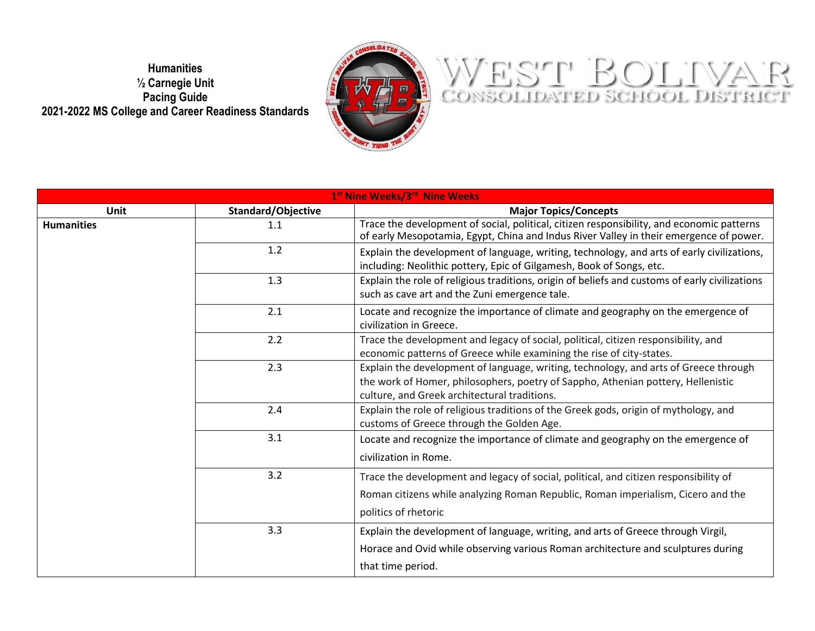**Humanities ½ Carnegie Unit Pacing Guide 2021-2022 MS College and Career Readiness Standards**



## WEST BOLIVAR

| 1 <sup>st</sup> Nine Weeks/3 <sup>rd</sup> Nine Weeks |                    |                                                                                                                                                                                                                          |  |
|-------------------------------------------------------|--------------------|--------------------------------------------------------------------------------------------------------------------------------------------------------------------------------------------------------------------------|--|
| Unit                                                  | Standard/Objective | <b>Major Topics/Concepts</b>                                                                                                                                                                                             |  |
| <b>Humanities</b>                                     | 1.1                | Trace the development of social, political, citizen responsibility, and economic patterns<br>of early Mesopotamia, Egypt, China and Indus River Valley in their emergence of power.                                      |  |
|                                                       | 1.2                | Explain the development of language, writing, technology, and arts of early civilizations,<br>including: Neolithic pottery, Epic of Gilgamesh, Book of Songs, etc.                                                       |  |
|                                                       | 1.3                | Explain the role of religious traditions, origin of beliefs and customs of early civilizations<br>such as cave art and the Zuni emergence tale.                                                                          |  |
|                                                       | 2.1                | Locate and recognize the importance of climate and geography on the emergence of<br>civilization in Greece.                                                                                                              |  |
|                                                       | 2.2                | Trace the development and legacy of social, political, citizen responsibility, and<br>economic patterns of Greece while examining the rise of city-states.                                                               |  |
|                                                       | 2.3                | Explain the development of language, writing, technology, and arts of Greece through<br>the work of Homer, philosophers, poetry of Sappho, Athenian pottery, Hellenistic<br>culture, and Greek architectural traditions. |  |
|                                                       | 2.4                | Explain the role of religious traditions of the Greek gods, origin of mythology, and<br>customs of Greece through the Golden Age.                                                                                        |  |
|                                                       | 3.1                | Locate and recognize the importance of climate and geography on the emergence of<br>civilization in Rome.                                                                                                                |  |
|                                                       | 3.2                | Trace the development and legacy of social, political, and citizen responsibility of<br>Roman citizens while analyzing Roman Republic, Roman imperialism, Cicero and the<br>politics of rhetoric                         |  |
|                                                       | 3.3                | Explain the development of language, writing, and arts of Greece through Virgil,<br>Horace and Ovid while observing various Roman architecture and sculptures during<br>that time period.                                |  |